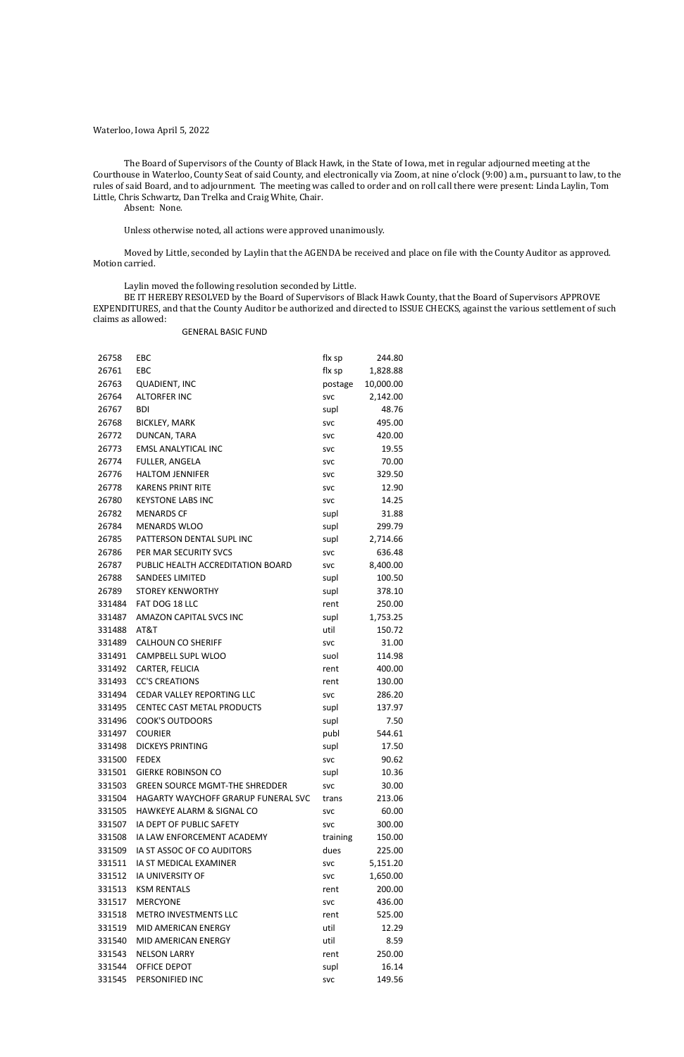## Waterloo, Iowa April 5, 2022

The Board of Supervisors of the County of Black Hawk, in the State of Iowa, met in regular adjourned meeting at the Courthouse in Waterloo, County Seat of said County, and electronically via Zoom, at nine o'clock (9:00) a.m., pursuant to law, to the rules of said Board, and to adjournment. The meeting was called to order and on roll call there were present: Linda Laylin, Tom Little, Chris Schwartz, Dan Trelka and Craig White, Chair.

Absent: None.

Unless otherwise noted, all actions were approved unanimously.

Moved by Little, seconded by Laylin that the AGENDA be received and place on file with the County Auditor as approved. Motion carried.

Laylin moved the following resolution seconded by Little.

BE IT HEREBY RESOLVED by the Board of Supervisors of Black Hawk County, that the Board of Supervisors APPROVE EXPENDITURES, and that the County Auditor be authorized and directed to ISSUE CHECKS, against the various settlement of such claims as allowed:

### GENERAL BASIC FUND

| 26758  | EBC                                   | flx sp     | 244.80    |
|--------|---------------------------------------|------------|-----------|
| 26761  | EBC                                   | flx sp     | 1,828.88  |
| 26763  | <b>QUADIENT, INC</b>                  | postage    | 10,000.00 |
| 26764  | <b>ALTORFER INC</b>                   | <b>SVC</b> | 2,142.00  |
| 26767  | <b>BDI</b>                            | supl       | 48.76     |
| 26768  | <b>BICKLEY, MARK</b>                  | <b>SVC</b> | 495.00    |
| 26772  | DUNCAN, TARA                          | <b>SVC</b> | 420.00    |
| 26773  | <b>EMSL ANALYTICAL INC</b>            | <b>SVC</b> | 19.55     |
| 26774  | FULLER, ANGELA                        | <b>SVC</b> | 70.00     |
| 26776  | <b>HALTOM JENNIFER</b>                | <b>SVC</b> | 329.50    |
| 26778  | <b>KARENS PRINT RITE</b>              | <b>SVC</b> | 12.90     |
| 26780  | <b>KEYSTONE LABS INC</b>              | <b>SVC</b> | 14.25     |
| 26782  | <b>MENARDS CF</b>                     | supl       | 31.88     |
| 26784  | <b>MENARDS WLOO</b>                   | supl       | 299.79    |
| 26785  | PATTERSON DENTAL SUPL INC             | supl       | 2,714.66  |
| 26786  | PER MAR SECURITY SVCS                 | <b>SVC</b> | 636.48    |
| 26787  | PUBLIC HEALTH ACCREDITATION BOARD     | <b>SVC</b> | 8,400.00  |
| 26788  | <b>SANDEES LIMITED</b>                | supl       | 100.50    |
| 26789  | <b>STOREY KENWORTHY</b>               | supl       | 378.10    |
| 331484 | FAT DOG 18 LLC                        | rent       | 250.00    |
| 331487 | AMAZON CAPITAL SVCS INC               | supl       | 1,753.25  |
| 331488 | AT&T                                  | util       | 150.72    |
| 331489 | <b>CALHOUN CO SHERIFF</b>             | <b>SVC</b> | 31.00     |
| 331491 | CAMPBELL SUPL WLOO                    | suol       | 114.98    |
| 331492 | CARTER, FELICIA                       | rent       | 400.00    |
| 331493 | <b>CC'S CREATIONS</b>                 | rent       | 130.00    |
| 331494 | CEDAR VALLEY REPORTING LLC            | <b>SVC</b> | 286.20    |
| 331495 | CENTEC CAST METAL PRODUCTS            | supl       | 137.97    |
| 331496 | <b>COOK'S OUTDOORS</b>                | supl       | 7.50      |
| 331497 | <b>COURIER</b>                        | publ       | 544.61    |
| 331498 | <b>DICKEYS PRINTING</b>               | supl       | 17.50     |
| 331500 | <b>FEDEX</b>                          | <b>SVC</b> | 90.62     |
| 331501 | <b>GIERKE ROBINSON CO</b>             | supl       | 10.36     |
| 331503 | <b>GREEN SOURCE MGMT-THE SHREDDER</b> | <b>SVC</b> | 30.00     |
| 331504 | HAGARTY WAYCHOFF GRARUP FUNERAL SVC   | trans      | 213.06    |
| 331505 | HAWKEYE ALARM & SIGNAL CO             | <b>SVC</b> | 60.00     |
| 331507 | IA DEPT OF PUBLIC SAFETY              | <b>SVC</b> | 300.00    |
| 331508 | IA LAW ENFORCEMENT ACADEMY            | training   | 150.00    |
| 331509 | IA ST ASSOC OF CO AUDITORS            | dues       | 225.00    |
| 331511 | IA ST MEDICAL EXAMINER                | <b>SVC</b> | 5,151.20  |
| 331512 | <b>IA UNIVERSITY OF</b>               | <b>SVC</b> | 1,650.00  |
| 331513 | <b>KSM RENTALS</b>                    | rent       | 200.00    |
| 331517 | <b>MERCYONE</b>                       | <b>SVC</b> | 436.00    |
| 331518 | <b>METRO INVESTMENTS LLC</b>          | rent       | 525.00    |
| 331519 | MID AMERICAN ENERGY                   | util       | 12.29     |
| 331540 | MID AMERICAN ENERGY                   | util       | 8.59      |
| 331543 | <b>NELSON LARRY</b>                   | rent       | 250.00    |
| 331544 | OFFICE DEPOT                          | supl       | 16.14     |
| 331545 | PERSONIFIED INC                       | <b>SVC</b> | 149.56    |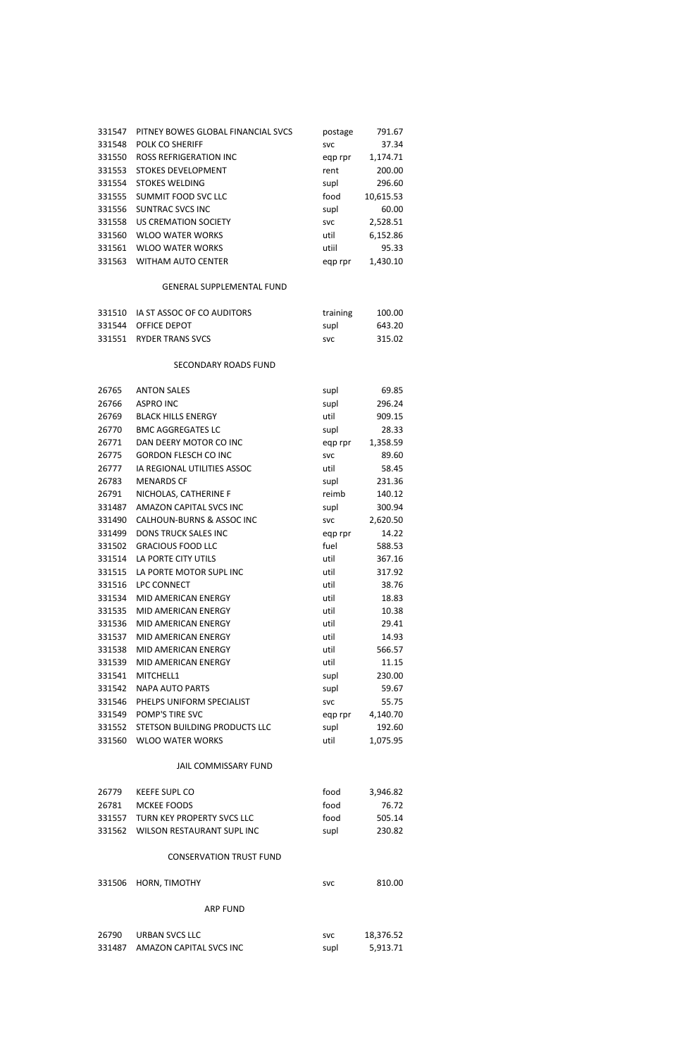| 331547 | PITNEY BOWES GLOBAL FINANCIAL SVCS | postage    | 791.67    |
|--------|------------------------------------|------------|-----------|
| 331548 | POLK CO SHERIFF                    | <b>SVC</b> | 37.34     |
| 331550 | <b>ROSS REFRIGERATION INC</b>      | egp rpr    | 1,174.71  |
| 331553 | <b>STOKES DEVELOPMENT</b>          | rent       | 200.00    |
| 331554 | <b>STOKES WELDING</b>              | supl       | 296.60    |
| 331555 | SUMMIT FOOD SVC LLC                | food       | 10,615.53 |
| 331556 | SUNTRAC SVCS INC                   | supl       | 60.00     |
| 331558 | US CREMATION SOCIETY               | <b>SVC</b> | 2,528.51  |
| 331560 | <b>WLOO WATER WORKS</b>            | util       | 6,152.86  |
| 331561 | <b>WLOO WATER WORKS</b>            | utiil      | 95.33     |
| 331563 | <b>WITHAM AUTO CENTER</b>          | egp rpr    | 1.430.10  |
|        |                                    |            |           |

# GENERAL SUPPLEMENTAL FUND

| 331510 IA ST ASSOC OF CO AUDITORS | training   | 100.00 |
|-----------------------------------|------------|--------|
| 331544 OFFICE DEPOT               | supl       | 643.20 |
| 331551 RYDER TRANS SVCS           | <b>SVC</b> | 315.02 |

## SECONDARY ROADS FUND

| 26765  | <b>ANTON SALES</b>                   | supl       | 69.85    |
|--------|--------------------------------------|------------|----------|
| 26766  | <b>ASPRO INC</b>                     | supl       | 296.24   |
| 26769  | <b>BLACK HILLS ENERGY</b>            | util       | 909.15   |
| 26770  | <b>BMC AGGREGATES LC</b>             | supl       | 28.33    |
| 26771  | DAN DEERY MOTOR CO INC               | egp rpr    | 1,358.59 |
| 26775  | <b>GORDON FLESCH CO INC</b>          | <b>SVC</b> | 89.60    |
| 26777  | IA REGIONAL UTILITIES ASSOC          | util       | 58.45    |
| 26783  | <b>MENARDS CF</b>                    | supl       | 231.36   |
| 26791  | NICHOLAS, CATHERINE F                | reimb      | 140.12   |
| 331487 | AMAZON CAPITAL SVCS INC              | supl       | 300.94   |
| 331490 | <b>CALHOUN-BURNS &amp; ASSOC INC</b> | <b>SVC</b> | 2,620.50 |
| 331499 | <b>DONS TRUCK SALES INC</b>          | eqp rpr    | 14.22    |
| 331502 | <b>GRACIOUS FOOD LLC</b>             | fuel       | 588.53   |
| 331514 | LA PORTE CITY UTILS                  | util       | 367.16   |
| 331515 | LA PORTE MOTOR SUPL INC              | util       | 317.92   |
| 331516 | LPC CONNECT                          | util       | 38.76    |
| 331534 | MID AMERICAN ENERGY                  | util       | 18.83    |
| 331535 | MID AMERICAN ENERGY                  | util       | 10.38    |
| 331536 | MID AMERICAN ENERGY                  | util       | 29.41    |
| 331537 | MID AMERICAN ENERGY                  | util       | 14.93    |
| 331538 | MID AMERICAN ENERGY                  | util       | 566.57   |
| 331539 | MID AMERICAN ENERGY                  | util       | 11.15    |
| 331541 | MITCHELL1                            | supl       | 230.00   |
| 331542 | <b>NAPA AUTO PARTS</b>               | supl       | 59.67    |
| 331546 | PHELPS UNIFORM SPECIALIST            | <b>SVC</b> | 55.75    |
| 331549 | POMP'S TIRE SVC                      | eqp rpr    | 4,140.70 |
| 331552 | STETSON BUILDING PRODUCTS LLC        | supl       | 192.60   |
| 331560 | <b>WLOO WATER WORKS</b>              | util       | 1,075.95 |

# JAIL COMMISSARY FUND

| 26779 | KEEFE SUPL CO                     | tood | 3.946.82 |
|-------|-----------------------------------|------|----------|
| 26781 | MCKEE FOODS                       | tood | 76.72    |
|       | 331557 TURN KEY PROPERTY SVCS LLC | food | 505.14   |
|       | 331562 WILSON RESTAURANT SUPL INC | supl | 230.82   |

# CONSERVATION TRUST FUND

|  | 331506 HORN, TIMOTHY | svc | 810.00 |
|--|----------------------|-----|--------|
|--|----------------------|-----|--------|

# ARP FUND

| 26790 | URBAN SVCS LLC                 | svc  | 18,376.52 |
|-------|--------------------------------|------|-----------|
|       | 331487 AMAZON CAPITAL SVCS INC | supl | 5,913.71  |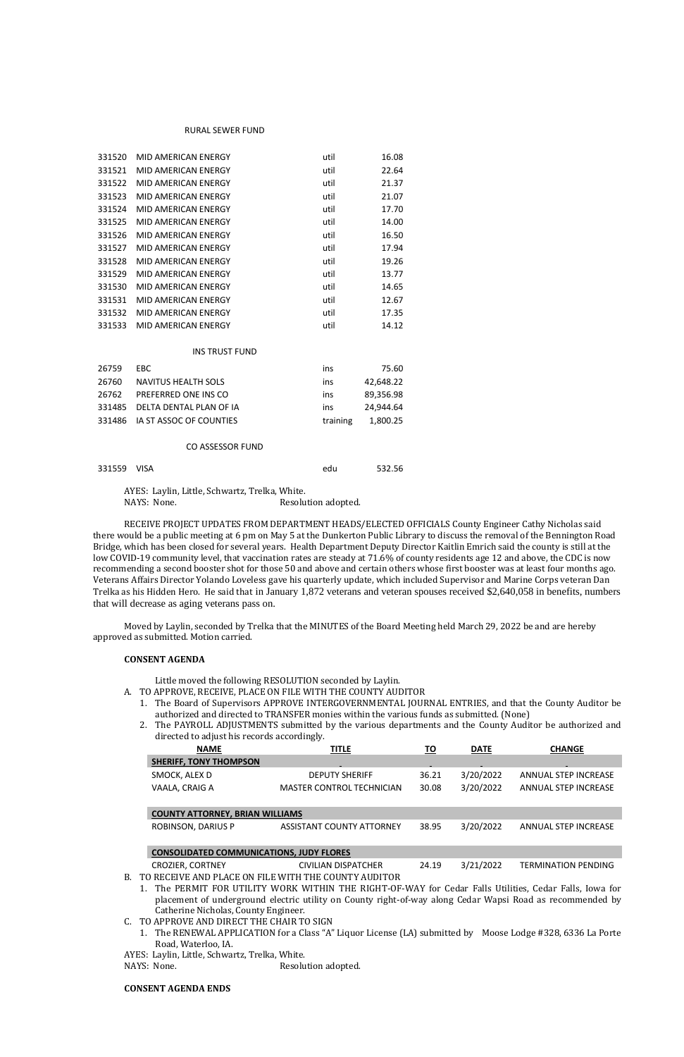### RURAL SEWER FUND

| 331520 | MID AMERICAN ENERGY        | util | 16.08 |
|--------|----------------------------|------|-------|
| 331521 | MID AMERICAN ENERGY        | util | 22.64 |
| 331522 | MID AMERICAN ENERGY        | util | 21.37 |
| 331523 | MID AMERICAN ENERGY        | util | 21.07 |
| 331524 | <b>MID AMERICAN ENERGY</b> | util | 17.70 |
| 331525 | MID AMERICAN ENERGY        | util | 14.00 |
| 331526 | MID AMERICAN ENERGY        | util | 16.50 |
| 331527 | MID AMERICAN ENERGY        | util | 17.94 |
| 331528 | MID AMERICAN ENERGY        | util | 19.26 |
| 331529 | MID AMERICAN ENERGY        | util | 13.77 |
| 331530 | MID AMERICAN ENERGY        | util | 14.65 |
| 331531 | MID AMERICAN ENERGY        | util | 12.67 |
| 331532 | MID AMERICAN ENERGY        | util | 17.35 |
| 331533 | <b>MID AMERICAN ENERGY</b> | util | 14.12 |

#### INS TRUST FUND

| 26759 | EBC.                           | ins      | 75.60     |
|-------|--------------------------------|----------|-----------|
| 26760 | <b>NAVITUS HEALTH SOLS</b>     | ins      | 42.648.22 |
| 26762 | PREFERRED ONE INS CO           | ins      | 89.356.98 |
|       | 331485 DELTA DENTAL PLAN OF IA | ins      | 24.944.64 |
|       | 331486 IA ST ASSOC OF COUNTIES | training | 1.800.25  |
|       |                                |          |           |

### CO ASSESSOR FUND

| 331559 VISA | edu | 532.56 |
|-------------|-----|--------|
|             |     |        |

AYES: Laylin, Little, Schwartz, Trelka, White.

NAYS: None. Resolution adopted.

- A. TO APPROVE, RECEIVE, PLACE ON FILE WITH THE COUNTY AUDITOR
	- 1. The Board of Supervisors APPROVE INTERGOVERNMENTAL JOURNAL ENTRIES, and that the County Auditor be authorized and directed to TRANSFER monies within the various funds as submitted. (None)
	- 2. The PAYROLL ADJUSTMENTS submitted by the various departments and the County Auditor be authorized and directed to adjust his records accordingly.

RECEIVE PROJECT UPDATES FROM DEPARTMENT HEADS/ELECTED OFFICIALS County Engineer Cathy Nicholas said there would be a public meeting at 6 pm on May 5 at the Dunkerton Public Library to discuss the removal of the Bennington Road Bridge, which has been closed for several years. Health Department Deputy Director Kaitlin Emrich said the county is still at the low COVID-19 community level, that vaccination rates are steady at 71.6% of county residents age 12 and above, the CDC is now recommending a second booster shot for those 50 and above and certain others whose first booster was at least four months ago. Veterans Affairs Director Yolando Loveless gave his quarterly update, which included Supervisor and Marine Corps veteran Dan Trelka as his Hidden Hero. He said that in January 1,872 veterans and veteran spouses received \$2,640,058 in benefits, numbers that will decrease as aging veterans pass on.

Moved by Laylin, seconded by Trelka that the MINUTES of the Board Meeting held March 29, 2022 be and are hereby approved as submitted. Motion carried.

### **CONSENT AGENDA**

I

Little moved the following RESOLUTION seconded by Laylin.

| <b>NAME</b>                   | <b>TITLE</b>                     | ΤO     | <b>DATE</b> | <b>CHANGE</b>        |
|-------------------------------|----------------------------------|--------|-------------|----------------------|
| <b>SHERIFF. TONY THOMPSON</b> | <b>COLLECT</b>                   | $\sim$ | <b>COLL</b> |                      |
| SMOCK, ALEX D                 | <b>DEPUTY SHERIFF</b>            | 36.21  | 3/20/2022   | ANNUAL STEP INCREASE |
| VAALA, CRAIG A                | <b>MASTER CONTROL TECHNICIAN</b> | 30.08  | 3/20/2022   | ANNUAL STEP INCREASE |

### **COUNTY ATTORNEY, BRIAN WILLIAMS**

ROBINSON, DARIUS P ASSISTANT COUNTY ATTORNEY 38.95 3/20/2022 ANNUAL STEP INCREASE

### **CONSOLIDATED COMMUNICATIONS, JUDY FLORES**

CROZIER, CORTNEY CIVILIAN DISPATCHER 24.19 3/21/2022 TERMINATION PENDING

- B. TO RECEIVE AND PLACE ON FILE WITH THE COUNTY AUDITOR
	- 1. The PERMIT FOR UTILITY WORK WITHIN THE RIGHT-OF-WAY for Cedar Falls Utilities, Cedar Falls, Iowa for placement of underground electric utility on County right-of-way along Cedar Wapsi Road as recommended by Catherine Nicholas, County Engineer.
- C. TO APPROVE AND DIRECT THE CHAIR TO SIGN
	- 1. The RENEWAL APPLICATION for a Class "A" Liquor License (LA) submitted by Moose Lodge #328, 6336 La Porte Road, Waterloo, IA.

AYES: Laylin, Little, Schwartz, Trelka, White.

NAYS: None. Resolution adopted.

## **CONSENT AGENDA ENDS**